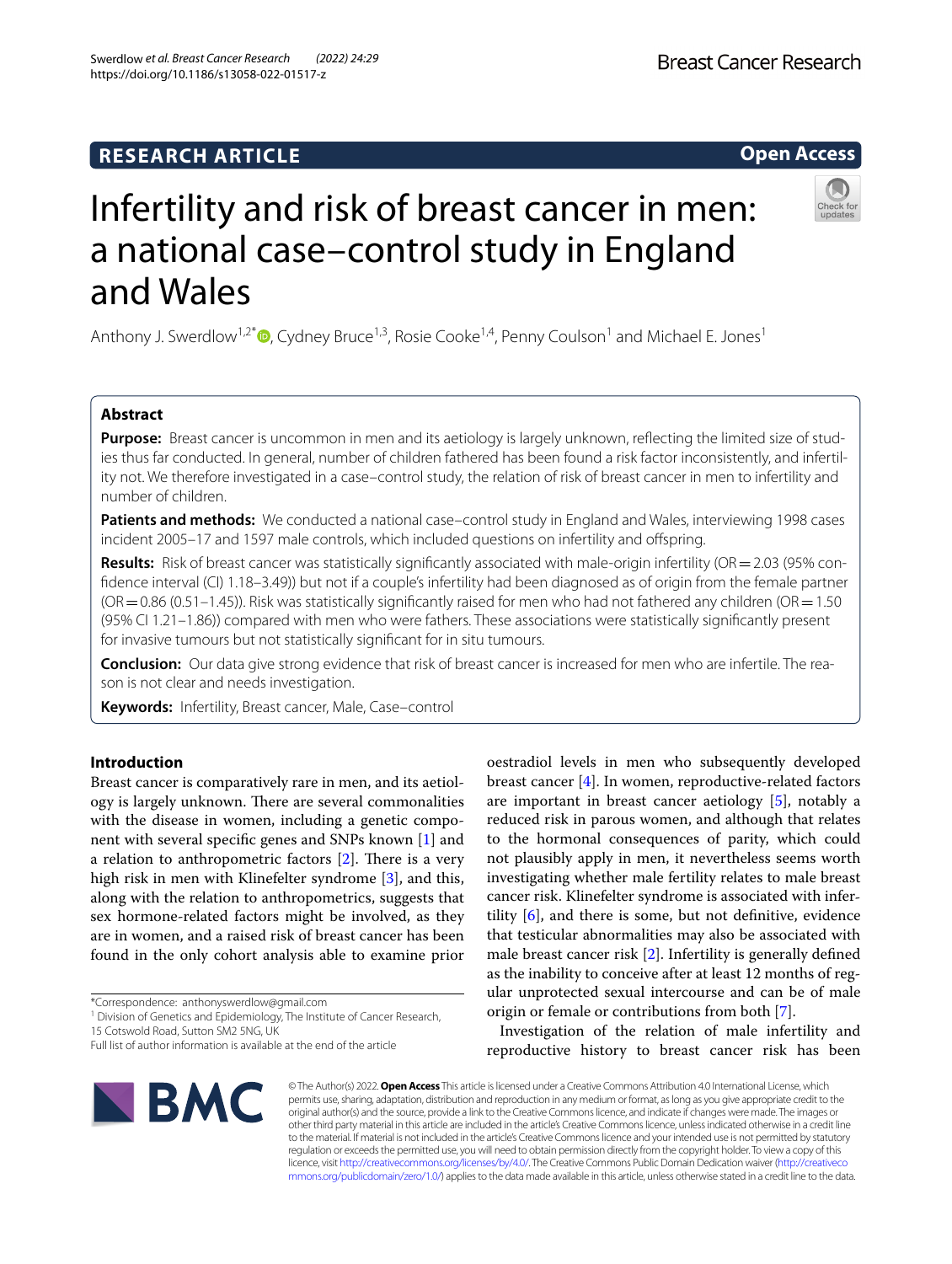## **RESEARCH ARTICLE**

# Infertility and risk of breast cancer in men: a national case–control study in England and Wales

Anthony J. Swerdlow<sup>1[,](http://orcid.org/0000-0001-5550-4159)2\*</sup>  $\Phi$ , Cydney Bruce<sup>1,3</sup>, Rosie Cooke<sup>1,4</sup>, Penny Coulson<sup>1</sup> and Michael E. Jones<sup>1</sup>

## **Abstract**

**Purpose:** Breast cancer is uncommon in men and its aetiology is largely unknown, refecting the limited size of studies thus far conducted. In general, number of children fathered has been found a risk factor inconsistently, and infertility not. We therefore investigated in a case–control study, the relation of risk of breast cancer in men to infertility and number of children.

Patients and methods: We conducted a national case-control study in England and Wales, interviewing 1998 cases incident 2005–17 and 1597 male controls, which included questions on infertility and ofspring.

**Results:** Risk of breast cancer was statistically significantly associated with male-origin infertility (OR = 2.03 (95% confdence interval (CI) 1.18–3.49)) but not if a couple's infertility had been diagnosed as of origin from the female partner  $(OR = 0.86 (0.51–1.45))$ . Risk was statistically significantly raised for men who had not fathered any children  $(OR = 1.50)$ (95% CI 1.21–1.86)) compared with men who were fathers. These associations were statistically signifcantly present for invasive tumours but not statistically signifcant for in situ tumours.

**Conclusion:** Our data give strong evidence that risk of breast cancer is increased for men who are infertile. The reason is not clear and needs investigation.

**Keywords:** Infertility, Breast cancer, Male, Case–control

## **Introduction**

Breast cancer is comparatively rare in men, and its aetiology is largely unknown. There are several commonalities with the disease in women, including a genetic component with several specifc genes and SNPs known [[1\]](#page-7-0) and a relation to anthropometric factors  $[2]$  $[2]$ . There is a very high risk in men with Klinefelter syndrome [[3\]](#page-7-2), and this, along with the relation to anthropometrics, suggests that sex hormone-related factors might be involved, as they are in women, and a raised risk of breast cancer has been found in the only cohort analysis able to examine prior

<sup>1</sup> Division of Genetics and Epidemiology, The Institute of Cancer Research,

© The Author(s) 2022. **Open Access** This article is licensed under a Creative Commons Attribution 4.0 International License, which permits use, sharing, adaptation, distribution and reproduction in any medium or format, as long as you give appropriate credit to the original author(s) and the source, provide a link to the Creative Commons licence, and indicate if changes were made. The images or other third party material in this article are included in the article's Creative Commons licence, unless indicated otherwise in a credit line to the material. If material is not included in the article's Creative Commons licence and your intended use is not permitted by statutory regulation or exceeds the permitted use, you will need to obtain permission directly from the copyright holder. To view a copy of this licence, visit [http://creativecommons.org/licenses/by/4.0/.](http://creativecommons.org/licenses/by/4.0/) The Creative Commons Public Domain Dedication waiver ([http://creativeco](http://creativecommons.org/publicdomain/zero/1.0/) [mmons.org/publicdomain/zero/1.0/](http://creativecommons.org/publicdomain/zero/1.0/)) applies to the data made available in this article, unless otherwise stated in a credit line to the data.

oestradiol levels in men who subsequently developed breast cancer  $[4]$  $[4]$ . In women, reproductive-related factors are important in breast cancer aetiology [[5\]](#page-7-4), notably a reduced risk in parous women, and although that relates to the hormonal consequences of parity, which could not plausibly apply in men, it nevertheless seems worth investigating whether male fertility relates to male breast cancer risk. Klinefelter syndrome is associated with infertility  $[6]$  $[6]$ , and there is some, but not definitive, evidence that testicular abnormalities may also be associated with male breast cancer risk [\[2](#page-7-1)]. Infertility is generally defned as the inability to conceive after at least 12 months of regular unprotected sexual intercourse and can be of male

origin or female or contributions from both [[7\]](#page-7-6).

Investigation of the relation of male infertility and reproductive history to breast cancer risk has been

15 Cotswold Road, Sutton SM2 5NG, UK







Full list of author information is available at the end of the article

<sup>\*</sup>Correspondence: anthonyswerdlow@gmail.com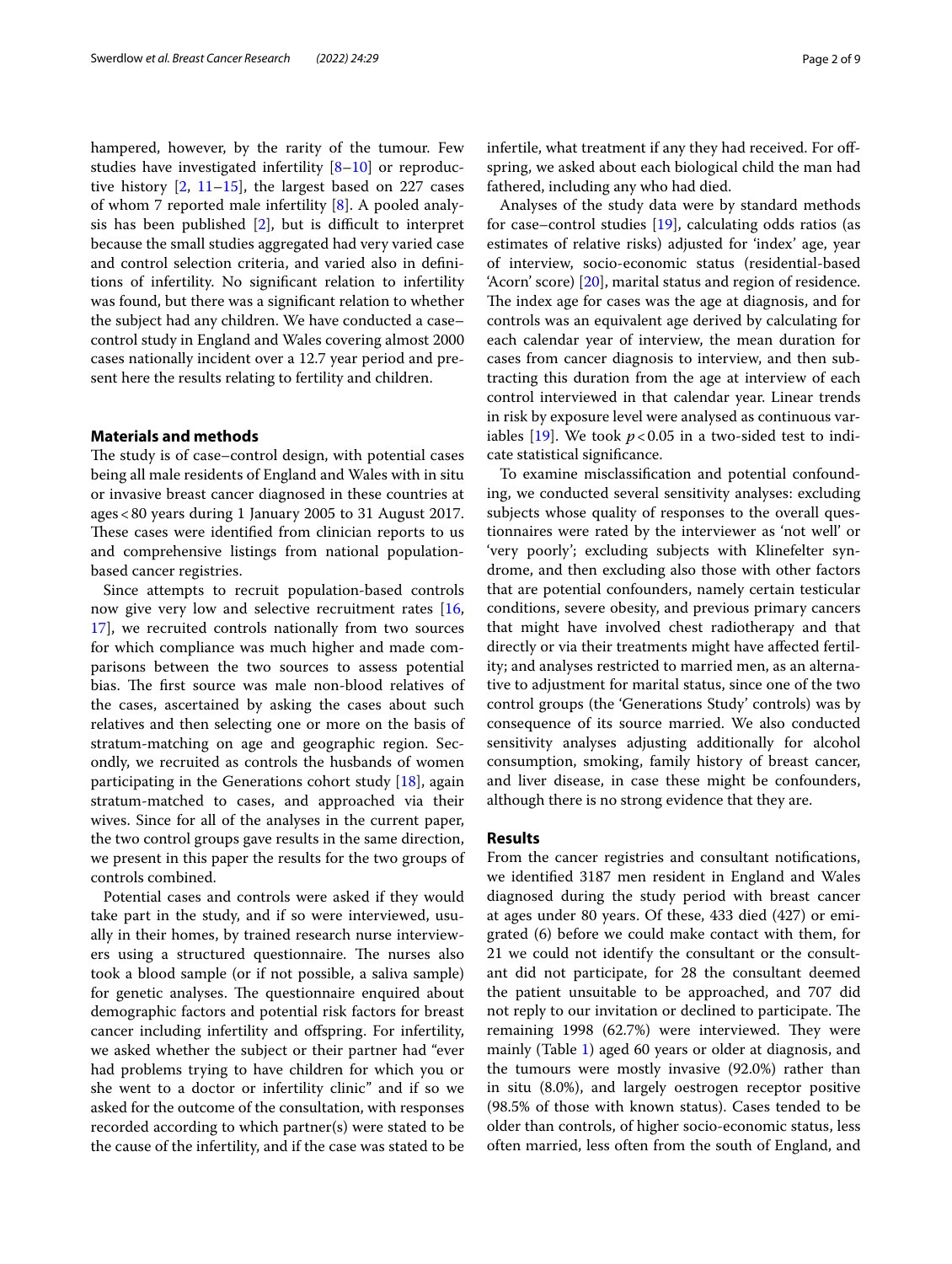hampered, however, by the rarity of the tumour. Few studies have investigated infertility [\[8](#page-7-7)[–10\]](#page-7-8) or reproductive history  $[2, 11-15]$  $[2, 11-15]$  $[2, 11-15]$  $[2, 11-15]$ , the largest based on 227 cases of whom 7 reported male infertility [[8\]](#page-7-7). A pooled analysis has been published  $[2]$  $[2]$  $[2]$ , but is difficult to interpret because the small studies aggregated had very varied case and control selection criteria, and varied also in defnitions of infertility. No signifcant relation to infertility was found, but there was a signifcant relation to whether the subject had any children. We have conducted a case– control study in England and Wales covering almost 2000 cases nationally incident over a 12.7 year period and present here the results relating to fertility and children.

## **Materials and methods**

The study is of case–control design, with potential cases being all male residents of England and Wales with in situ or invasive breast cancer diagnosed in these countries at ages<80 years during 1 January 2005 to 31 August 2017. These cases were identified from clinician reports to us and comprehensive listings from national populationbased cancer registries.

Since attempts to recruit population-based controls now give very low and selective recruitment rates [\[16](#page-8-1), [17\]](#page-8-2), we recruited controls nationally from two sources for which compliance was much higher and made comparisons between the two sources to assess potential bias. The first source was male non-blood relatives of the cases, ascertained by asking the cases about such relatives and then selecting one or more on the basis of stratum-matching on age and geographic region. Secondly, we recruited as controls the husbands of women participating in the Generations cohort study [[18](#page-8-3)], again stratum-matched to cases, and approached via their wives. Since for all of the analyses in the current paper, the two control groups gave results in the same direction, we present in this paper the results for the two groups of controls combined.

Potential cases and controls were asked if they would take part in the study, and if so were interviewed, usually in their homes, by trained research nurse interviewers using a structured questionnaire. The nurses also took a blood sample (or if not possible, a saliva sample) for genetic analyses. The questionnaire enquired about demographic factors and potential risk factors for breast cancer including infertility and ofspring. For infertility, we asked whether the subject or their partner had "ever had problems trying to have children for which you or she went to a doctor or infertility clinic'' and if so we asked for the outcome of the consultation, with responses recorded according to which partner(s) were stated to be the cause of the infertility, and if the case was stated to be infertile, what treatment if any they had received. For offspring, we asked about each biological child the man had fathered, including any who had died.

Analyses of the study data were by standard methods for case–control studies [\[19](#page-8-4)], calculating odds ratios (as estimates of relative risks) adjusted for 'index' age, year of interview, socio-economic status (residential-based 'Acorn' score) [\[20](#page-8-5)], marital status and region of residence. The index age for cases was the age at diagnosis, and for controls was an equivalent age derived by calculating for each calendar year of interview, the mean duration for cases from cancer diagnosis to interview, and then subtracting this duration from the age at interview of each control interviewed in that calendar year. Linear trends in risk by exposure level were analysed as continuous var-iables [\[19](#page-8-4)]. We took  $p < 0.05$  in a two-sided test to indicate statistical signifcance.

To examine misclassifcation and potential confounding, we conducted several sensitivity analyses: excluding subjects whose quality of responses to the overall questionnaires were rated by the interviewer as 'not well' or 'very poorly'; excluding subjects with Klinefelter syndrome, and then excluding also those with other factors that are potential confounders, namely certain testicular conditions, severe obesity, and previous primary cancers that might have involved chest radiotherapy and that directly or via their treatments might have afected fertility; and analyses restricted to married men, as an alternative to adjustment for marital status, since one of the two control groups (the 'Generations Study' controls) was by consequence of its source married. We also conducted sensitivity analyses adjusting additionally for alcohol consumption, smoking, family history of breast cancer, and liver disease, in case these might be confounders, although there is no strong evidence that they are.

## **Results**

From the cancer registries and consultant notifcations, we identifed 3187 men resident in England and Wales diagnosed during the study period with breast cancer at ages under 80 years. Of these, 433 died (427) or emigrated (6) before we could make contact with them, for 21 we could not identify the consultant or the consultant did not participate, for 28 the consultant deemed the patient unsuitable to be approached, and 707 did not reply to our invitation or declined to participate. The remaining  $1998$  (62.7%) were interviewed. They were mainly (Table [1\)](#page-2-0) aged 60 years or older at diagnosis, and the tumours were mostly invasive (92.0%) rather than in situ (8.0%), and largely oestrogen receptor positive (98.5% of those with known status). Cases tended to be older than controls, of higher socio-economic status, less often married, less often from the south of England, and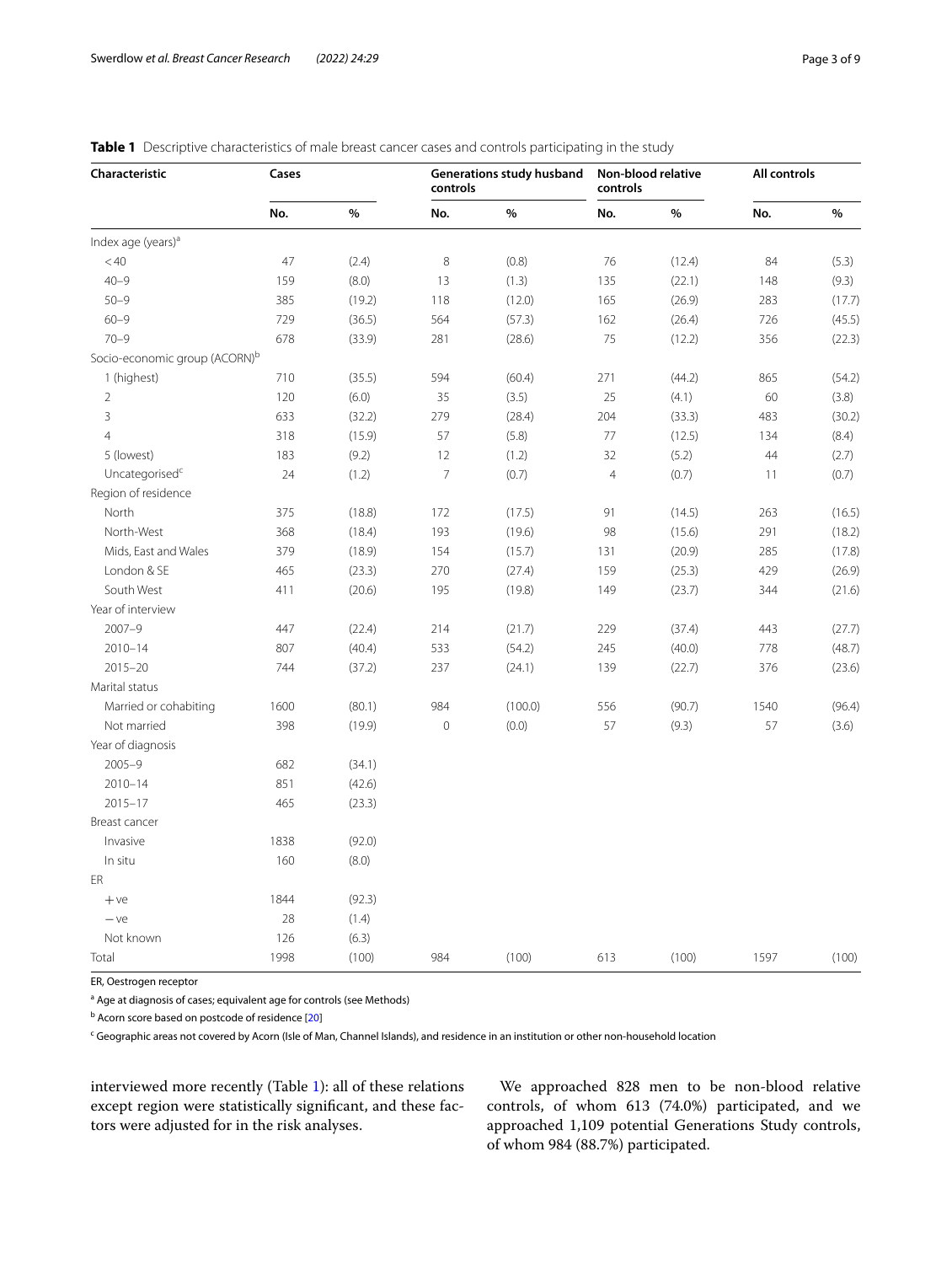| Characteristic                            | Cases |        | controls       | Generations study husband | controls       | Non-blood relative | All controls |        |
|-------------------------------------------|-------|--------|----------------|---------------------------|----------------|--------------------|--------------|--------|
|                                           | No.   | $\%$   | No.            | $\%$                      | No.            | $\%$               | No.          | %      |
| Index age (years) <sup>a</sup>            |       |        |                |                           |                |                    |              |        |
| < 40                                      | 47    | (2.4)  | 8              | (0.8)                     | 76             | (12.4)             | 84           | (5.3)  |
| $40 - 9$                                  | 159   | (8.0)  | 13             | (1.3)                     | 135            | (22.1)             | 148          | (9.3)  |
| $50 - 9$                                  | 385   | (19.2) | 118            | (12.0)                    | 165            | (26.9)             | 283          | (17.7) |
| $60 - 9$                                  | 729   | (36.5) | 564            | (57.3)                    | 162            | (26.4)             | 726          | (45.5) |
| $70 - 9$                                  | 678   | (33.9) | 281            | (28.6)                    | 75             | (12.2)             | 356          | (22.3) |
| Socio-economic group (ACORN) <sup>b</sup> |       |        |                |                           |                |                    |              |        |
| 1 (highest)                               | 710   | (35.5) | 594            | (60.4)                    | 271            | (44.2)             | 865          | (54.2) |
| $\overline{2}$                            | 120   | (6.0)  | 35             | (3.5)                     | 25             | (4.1)              | 60           | (3.8)  |
| 3                                         | 633   | (32.2) | 279            | (28.4)                    | 204            | (33.3)             | 483          | (30.2) |
| $\overline{4}$                            | 318   | (15.9) | 57             | (5.8)                     | 77             | (12.5)             | 134          | (8.4)  |
| 5 (lowest)                                | 183   | (9.2)  | 12             | (1.2)                     | 32             | (5.2)              | 44           | (2.7)  |
| Uncategorised <sup>c</sup>                | 24    | (1.2)  | $\overline{7}$ | (0.7)                     | $\overline{4}$ | (0.7)              | 11           | (0.7)  |
| Region of residence                       |       |        |                |                           |                |                    |              |        |
| North                                     | 375   | (18.8) | 172            | (17.5)                    | 91             | (14.5)             | 263          | (16.5) |
| North-West                                | 368   | (18.4) | 193            | (19.6)                    | 98             | (15.6)             | 291          | (18.2) |
| Mids, East and Wales                      | 379   | (18.9) | 154            | (15.7)                    | 131            | (20.9)             | 285          | (17.8) |
| London & SE                               | 465   | (23.3) | 270            | (27.4)                    | 159            | (25.3)             | 429          | (26.9) |
| South West                                | 411   | (20.6) | 195            | (19.8)                    | 149            | (23.7)             | 344          | (21.6) |
| Year of interview                         |       |        |                |                           |                |                    |              |        |
| $2007 - 9$                                | 447   | (22.4) | 214            | (21.7)                    | 229            | (37.4)             | 443          | (27.7) |
| $2010 - 14$                               | 807   | (40.4) | 533            | (54.2)                    | 245            | (40.0)             | 778          | (48.7) |
| $2015 - 20$                               | 744   | (37.2) | 237            | (24.1)                    | 139            | (22.7)             | 376          | (23.6) |
| Marital status                            |       |        |                |                           |                |                    |              |        |
| Married or cohabiting                     | 1600  | (80.1) | 984            | (100.0)                   | 556            | (90.7)             | 1540         | (96.4) |
| Not married                               | 398   | (19.9) | $\mathbf 0$    | (0.0)                     | 57             | (9.3)              | 57           | (3.6)  |
| Year of diagnosis                         |       |        |                |                           |                |                    |              |        |
| $2005 - 9$                                | 682   | (34.1) |                |                           |                |                    |              |        |
| $2010 - 14$                               | 851   | (42.6) |                |                           |                |                    |              |        |
| $2015 - 17$                               | 465   | (23.3) |                |                           |                |                    |              |        |
| Breast cancer                             |       |        |                |                           |                |                    |              |        |
| Invasive                                  | 1838  | (92.0) |                |                           |                |                    |              |        |
| In situ                                   | 160   | (8.0)  |                |                           |                |                    |              |        |
| ER                                        |       |        |                |                           |                |                    |              |        |
| $+ve$                                     | 1844  | (92.3) |                |                           |                |                    |              |        |
| $-ve$                                     | 28    | (1.4)  |                |                           |                |                    |              |        |
| Not known                                 | 126   | (6.3)  |                |                           |                |                    |              |        |
| Total                                     | 1998  | (100)  | 984            | (100)                     | 613            | (100)              | 1597         | (100)  |

## <span id="page-2-0"></span>**Table 1** Descriptive characteristics of male breast cancer cases and controls participating in the study

ER, Oestrogen receptor

<sup>a</sup> Age at diagnosis of cases; equivalent age for controls (see Methods)

<sup>b</sup> Acorn score based on postcode of residence [[20\]](#page-8-5)

<sup>c</sup> Geographic areas not covered by Acorn (Isle of Man, Channel Islands), and residence in an institution or other non-household location

interviewed more recently (Table [1](#page-2-0)): all of these relations except region were statistically signifcant, and these factors were adjusted for in the risk analyses.

We approached 828 men to be non-blood relative controls, of whom 613 (74.0%) participated, and we approached 1,109 potential Generations Study controls, of whom 984 (88.7%) participated.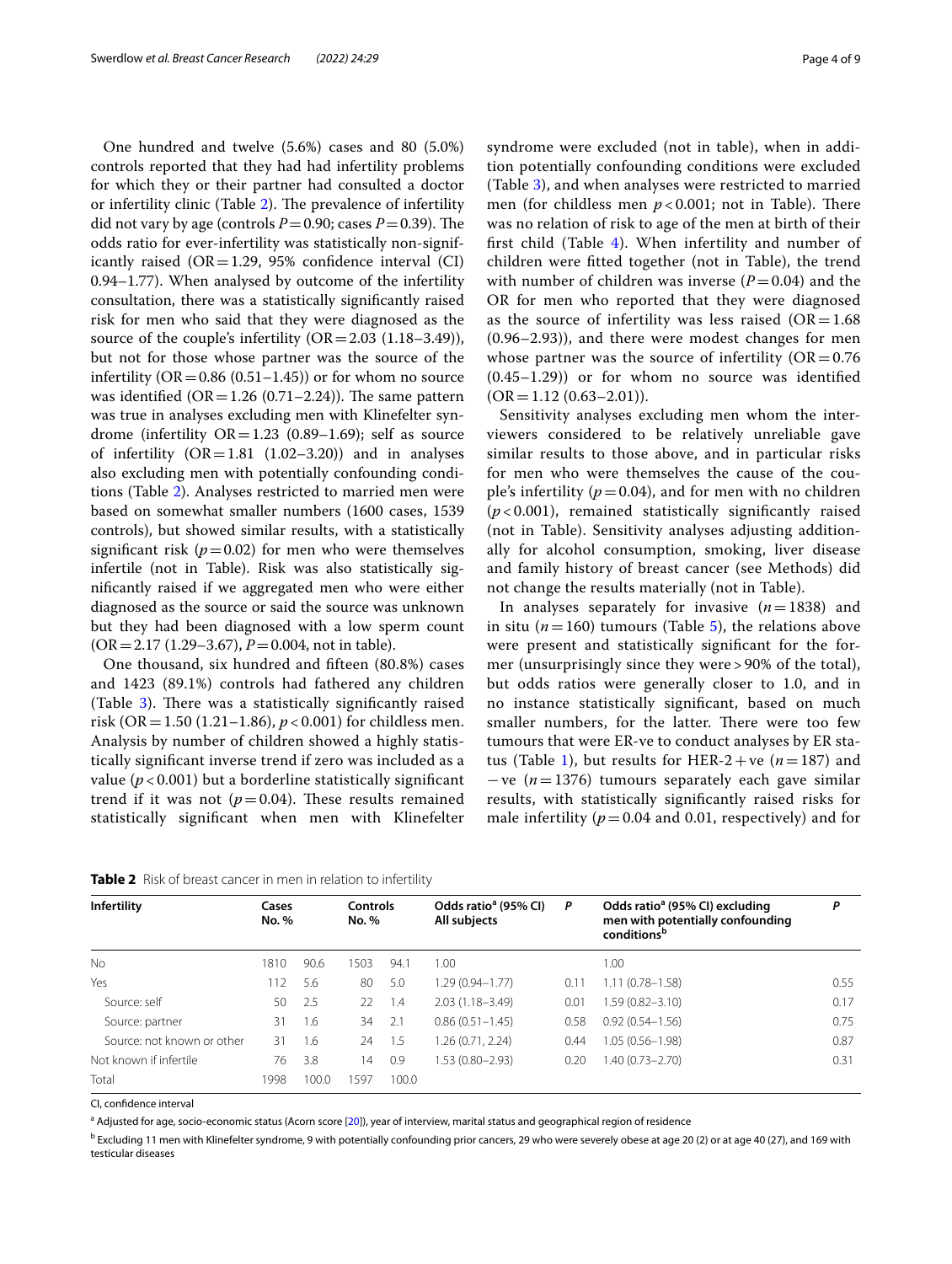One hundred and twelve (5.6%) cases and 80 (5.0%) controls reported that they had had infertility problems for which they or their partner had consulted a doctor or infertility clinic (Table [2\)](#page-3-0). The prevalence of infertility did not vary by age (controls  $P = 0.90$ ; cases  $P = 0.39$ ). The odds ratio for ever-infertility was statistically non-significantly raised ( $OR = 1.29$ , 95% confidence interval (CI) 0.94–1.77). When analysed by outcome of the infertility consultation, there was a statistically signifcantly raised risk for men who said that they were diagnosed as the source of the couple's infertility  $(OR = 2.03 (1.18-3.49)),$ but not for those whose partner was the source of the infertility ( $OR = 0.86$  ( $0.51-1.45$ )) or for whom no source was identified  $(OR = 1.26 (0.71 - 2.24))$ . The same pattern was true in analyses excluding men with Klinefelter syndrome (infertility  $OR = 1.23$  (0.89-1.69); self as source of infertility  $(OR = 1.81 \ (1.02 - 3.20))$  and in analyses also excluding men with potentially confounding conditions (Table [2](#page-3-0)). Analyses restricted to married men were based on somewhat smaller numbers (1600 cases, 1539 controls), but showed similar results, with a statistically significant risk ( $p=0.02$ ) for men who were themselves infertile (not in Table). Risk was also statistically signifcantly raised if we aggregated men who were either diagnosed as the source or said the source was unknown but they had been diagnosed with a low sperm count (OR=2.17 (1.29–3.67), *P*=0.004, not in table).

One thousand, six hundred and ffteen (80.8%) cases and 1423 (89.1%) controls had fathered any children (Table  $3$ ). There was a statistically significantly raised risk (OR = 1.50 (1.21–1.86),  $p < 0.001$ ) for childless men. Analysis by number of children showed a highly statistically signifcant inverse trend if zero was included as a value ( $p < 0.001$ ) but a borderline statistically significant trend if it was not  $(p=0.04)$ . These results remained statistically signifcant when men with Klinefelter syndrome were excluded (not in table), when in addition potentially confounding conditions were excluded (Table [3\)](#page-4-0), and when analyses were restricted to married men (for childless men  $p < 0.001$ ; not in Table). There was no relation of risk to age of the men at birth of their frst child (Table [4\)](#page-4-1). When infertility and number of children were ftted together (not in Table), the trend with number of children was inverse  $(P=0.04)$  and the OR for men who reported that they were diagnosed as the source of infertility was less raised  $(OR=1.68)$ (0.96–2.93)), and there were modest changes for men whose partner was the source of infertility  $(OR = 0.76$ (0.45–1.29)) or for whom no source was identifed  $(OR = 1.12 (0.63 - 2.01)).$ 

Sensitivity analyses excluding men whom the interviewers considered to be relatively unreliable gave similar results to those above, and in particular risks for men who were themselves the cause of the couple's infertility  $(p=0.04)$ , and for men with no children (*p* < 0.001), remained statistically signifcantly raised (not in Table). Sensitivity analyses adjusting additionally for alcohol consumption, smoking, liver disease and family history of breast cancer (see Methods) did not change the results materially (not in Table).

In analyses separately for invasive  $(n=1838)$  and in situ ( $n=160$ ) tumours (Table [5](#page-5-0)), the relations above were present and statistically signifcant for the former (unsurprisingly since they were > 90% of the total), but odds ratios were generally closer to 1.0, and in no instance statistically signifcant, based on much smaller numbers, for the latter. There were too few tumours that were ER-ve to conduct analyses by ER sta-tus (Table [1](#page-2-0)), but results for HER-2+ve ( $n=187$ ) and −ve (*n*=1376) tumours separately each gave similar results, with statistically signifcantly raised risks for male infertility  $(p=0.04$  and 0.01, respectively) and for

<span id="page-3-0"></span>

| Table 2 Risk of breast cancer in men in relation to infertility |  |
|-----------------------------------------------------------------|--|
|-----------------------------------------------------------------|--|

| Infertility                | Cases<br><b>No.</b> % |       | Controls<br><b>No.</b> % |       | Odds ratio <sup>a</sup> (95% CI)<br>All subjects | P    | Odds ratio <sup>a</sup> (95% CI) excluding<br>men with potentially confounding<br>conditions <sup>b</sup> | P    |
|----------------------------|-----------------------|-------|--------------------------|-------|--------------------------------------------------|------|-----------------------------------------------------------------------------------------------------------|------|
| <b>No</b>                  | 1810                  | 90.6  | 1503                     | 94.1  | 1.00                                             |      | 1.00                                                                                                      |      |
| Yes                        | 112                   | 5.6   | 80                       | 5.0   | $1.29(0.94 - 1.77)$                              | 0.1  | 1.11 (0.78-1.58)                                                                                          | 0.55 |
| Source: self               | 50                    | 2.5   | 22                       | 1.4   | $2.03(1.18 - 3.49)$                              | 0.01 | 1.59 (0.82–3.10)                                                                                          | 0.17 |
| Source: partner            | 31                    | 1.6   | 34                       | -2.1  | $0.86(0.51 - 1.45)$                              | 0.58 | $0.92(0.54 - 1.56)$                                                                                       | 0.75 |
| Source: not known or other | 31                    | 1.6   | 24                       | - 1.5 | 1.26 (0.71, 2.24)                                | 0.44 | 1.05 (0.56-1.98)                                                                                          | 0.87 |
| Not known if infertile     | 76                    | 3.8   | 14                       | 0.9   | 1.53 (0.80-2.93)                                 | 0.20 | 1.40 (0.73–2.70)                                                                                          | 0.31 |
| Total                      | 1998                  | 100.0 | 1597                     | 100.0 |                                                  |      |                                                                                                           |      |

CI, confdence interval

a Adjusted for age, socio-economic status (Acorn score [[20](#page-8-5)]), year of interview, marital status and geographical region of residence

<sup>b</sup> Excluding 11 men with Klinefelter syndrome, 9 with potentially confounding prior cancers, 29 who were severely obese at age 20 (2) or at age 40 (27), and 169 with testicular diseases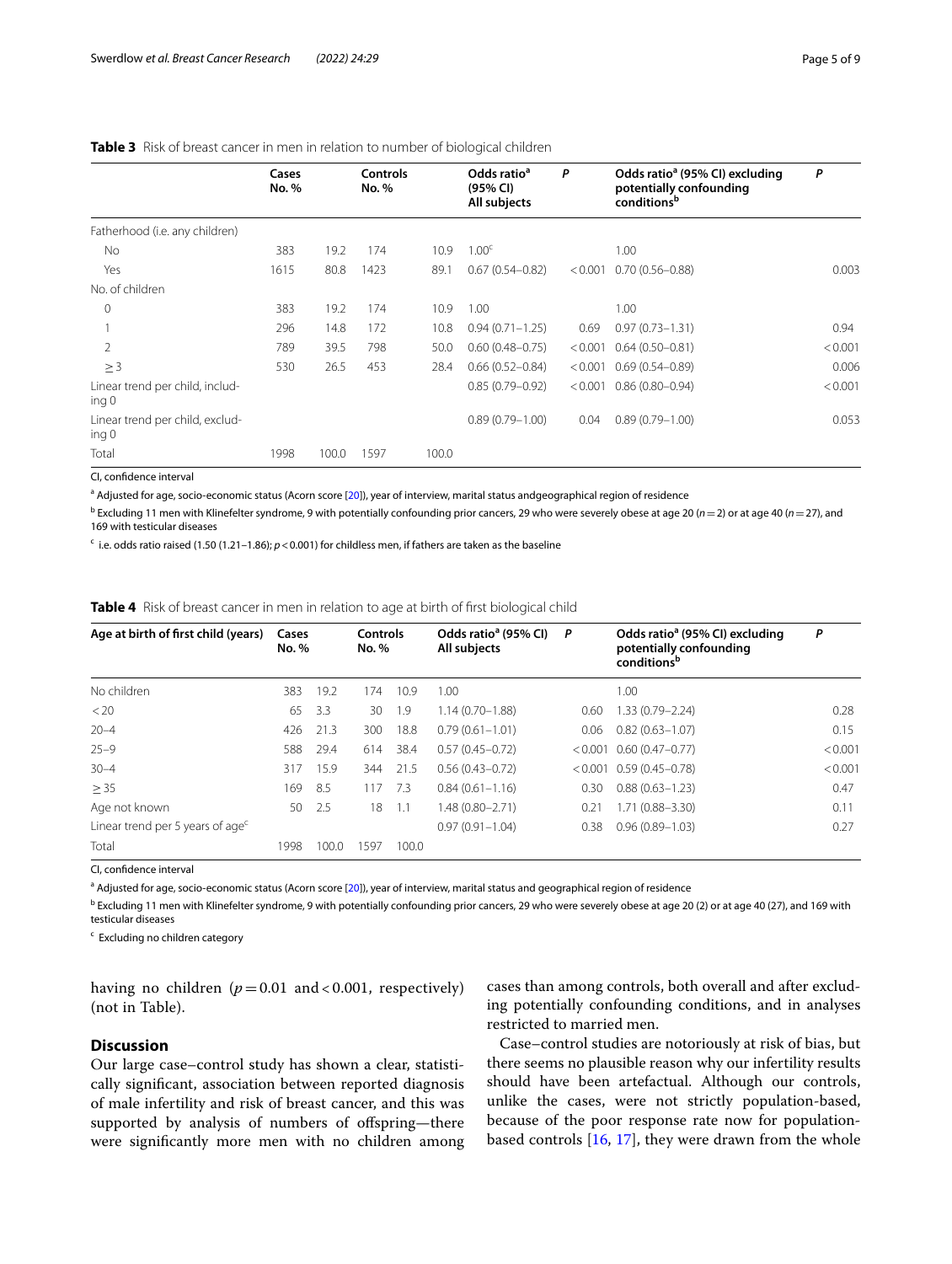## <span id="page-4-0"></span>**Table 3** Risk of breast cancer in men in relation to number of biological children

|                                                     | Cases<br><b>No.</b> % |       | Controls<br><b>No.</b> % |       | Odds ratio <sup>a</sup><br>(95% CI)<br>All subjects | P       | Odds ratio <sup>a</sup> (95% CI) excluding<br>potentially confounding<br>conditionsb | P       |
|-----------------------------------------------------|-----------------------|-------|--------------------------|-------|-----------------------------------------------------|---------|--------------------------------------------------------------------------------------|---------|
| Fatherhood (i.e. any children)                      |                       |       |                          |       |                                                     |         |                                                                                      |         |
| No                                                  | 383                   | 19.2  | 174                      | 10.9  | 1.00 <sup>c</sup>                                   |         | 1.00                                                                                 |         |
| Yes                                                 | 1615                  | 80.8  | 1423                     | 89.1  | $0.67(0.54 - 0.82)$                                 | < 0.001 | $0.70(0.56 - 0.88)$                                                                  | 0.003   |
| No. of children                                     |                       |       |                          |       |                                                     |         |                                                                                      |         |
| $\mathbf 0$                                         | 383                   | 19.2  | 174                      | 10.9  | 1.00                                                |         | 1.00                                                                                 |         |
|                                                     | 296                   | 14.8  | 172                      | 10.8  | $0.94(0.71 - 1.25)$                                 | 0.69    | $0.97(0.73 - 1.31)$                                                                  | 0.94    |
| 2                                                   | 789                   | 39.5  | 798                      | 50.0  | $0.60(0.48 - 0.75)$                                 | < 0.001 | $0.64(0.50 - 0.81)$                                                                  | < 0.001 |
| $\geq$ 3                                            | 530                   | 26.5  | 453                      | 28.4  | $0.66(0.52 - 0.84)$                                 | < 0.001 | $0.69(0.54 - 0.89)$                                                                  | 0.006   |
| Linear trend per child, includ-<br>ing <sub>0</sub> |                       |       |                          |       | $0.85(0.79 - 0.92)$                                 | < 0.001 | $0.86(0.80 - 0.94)$                                                                  | < 0.001 |
| Linear trend per child, exclud-<br>ing <sub>0</sub> |                       |       |                          |       | $0.89(0.79 - 1.00)$                                 | 0.04    | $0.89(0.79 - 1.00)$                                                                  | 0.053   |
| Total                                               | 1998                  | 100.0 | 1597                     | 100.0 |                                                     |         |                                                                                      |         |

CI, confdence interval

<sup>a</sup> Adjusted for age, socio-economic status (Acorn score [[20](#page-8-5)]), year of interview, marital status andgeographical region of residence

b Excluding 11 men with Klinefelter syndrome, 9 with potentially confounding prior cancers, 29 who were severely obese at age 20 (*n*=2) or at age 40 (*n*=27), and 169 with testicular diseases

 $\epsilon$  i.e. odds ratio raised (1.50 (1.21–1.86);  $p < 0.001$ ) for childless men, if fathers are taken as the baseline

<span id="page-4-1"></span>**Table 4** Risk of breast cancer in men in relation to age at birth of first biological child

| Age at birth of first child (years)          | Cases<br><b>No.</b> % |       | Controls<br><b>No.</b> % |       | Odds ratio <sup>a</sup> (95% CI)<br><b>All subjects</b> | P    | Odds ratio <sup>a</sup> (95% CI) excluding<br>potentially confounding<br>conditions <sup>b</sup> | P       |
|----------------------------------------------|-----------------------|-------|--------------------------|-------|---------------------------------------------------------|------|--------------------------------------------------------------------------------------------------|---------|
| No children                                  | 383                   | 19.2  | 174                      | 10.9  | 1.00                                                    |      | 1.00                                                                                             |         |
| < 20                                         | 65                    | 3.3   | 30                       | -1.9  | $1.14(0.70 - 1.88)$                                     | 0.60 | $1.33(0.79 - 2.24)$                                                                              | 0.28    |
| $20 - 4$                                     | 426                   | 21.3  | 300                      | 18.8  | $0.79(0.61 - 1.01)$                                     | 0.06 | $0.82(0.63 - 1.07)$                                                                              | 0.15    |
| $25 - 9$                                     | 588                   | 29.4  | 614                      | 38.4  | $0.57(0.45 - 0.72)$                                     |      | $< 0.001$ 0.60 (0.47-0.77)                                                                       | < 0.001 |
| $30 - 4$                                     | 317                   | 15.9  | 344                      | 21.5  | $0.56(0.43 - 0.72)$                                     |      | $< 0.001$ 0.59 (0.45-0.78)                                                                       | < 0.001 |
| $\geq$ 35                                    | 169                   | -8.5  | 117                      | 7.3   | $0.84(0.61 - 1.16)$                                     | 0.30 | $0.88(0.63 - 1.23)$                                                                              | 0.47    |
| Age not known                                | 50                    | -2.5  | 18                       | 1.1   | $1.48(0.80 - 2.71)$                                     | 0.21 | $1.71(0.88 - 3.30)$                                                                              | 0.11    |
| Linear trend per 5 years of age <sup>c</sup> |                       |       |                          |       | $0.97(0.91 - 1.04)$                                     | 0.38 | $0.96(0.89 - 1.03)$                                                                              | 0.27    |
| Total                                        | 1998                  | 100.0 | 1597                     | 100.0 |                                                         |      |                                                                                                  |         |

CI, confdence interval

<sup>a</sup> Adjusted for age, socio-economic status (Acorn score [[20](#page-8-5)]), year of interview, marital status and geographical region of residence

<sup>b</sup> Excluding 11 men with Klinefelter syndrome, 9 with potentially confounding prior cancers, 29 who were severely obese at age 20 (2) or at age 40 (27), and 169 with testicular diseases

<sup>c</sup> Excluding no children category

having no children  $(p=0.01 \text{ and } <0.001, \text{ respectively})$ (not in Table).

## **Discussion**

Our large case–control study has shown a clear, statistically signifcant, association between reported diagnosis of male infertility and risk of breast cancer, and this was supported by analysis of numbers of offspring-there were signifcantly more men with no children among

cases than among controls, both overall and after excluding potentially confounding conditions, and in analyses restricted to married men.

Case–control studies are notoriously at risk of bias, but there seems no plausible reason why our infertility results should have been artefactual. Although our controls, unlike the cases, were not strictly population-based, because of the poor response rate now for populationbased controls [[16](#page-8-1), [17](#page-8-2)], they were drawn from the whole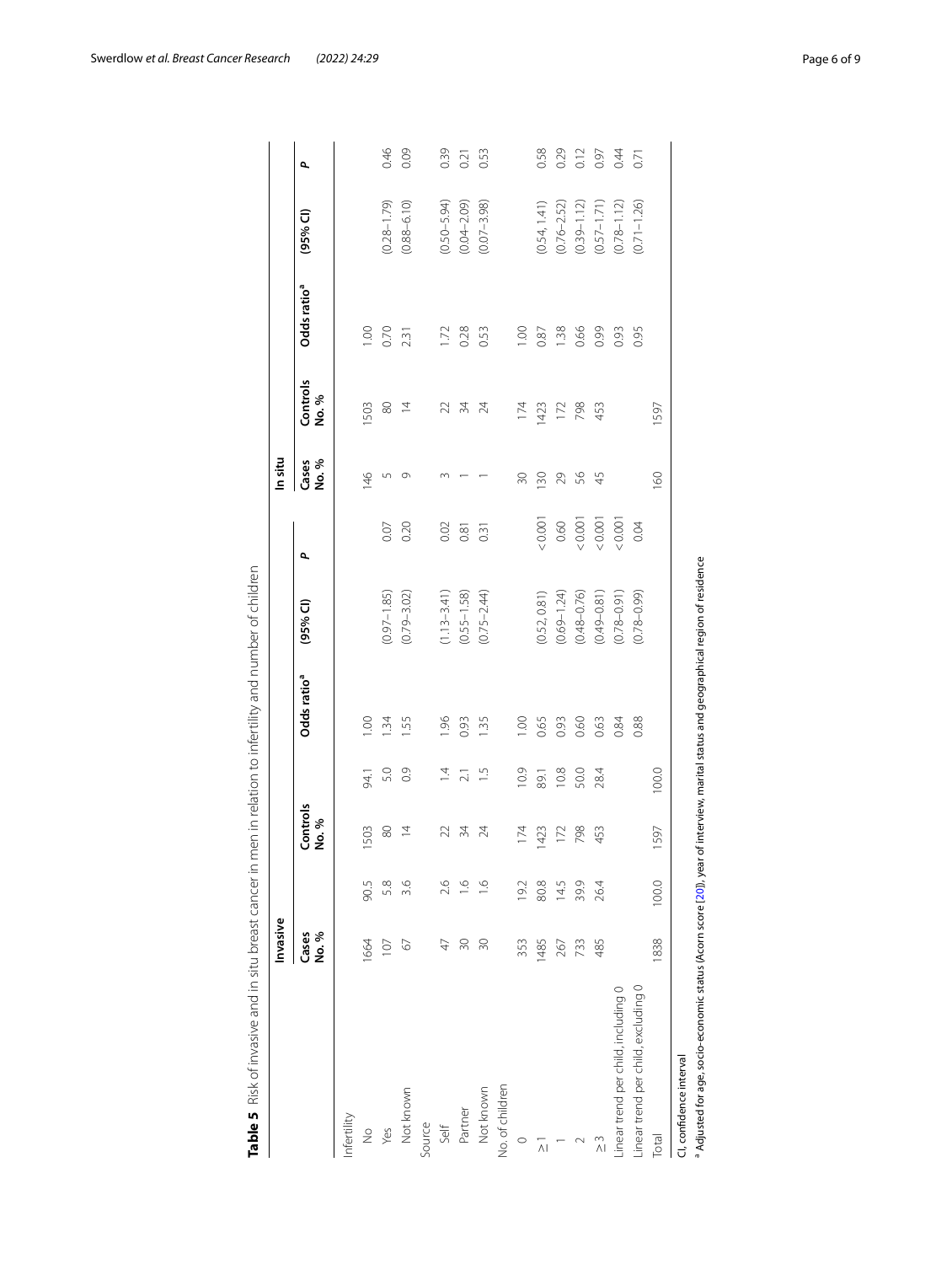|                                     | Invasive      |                       |                          |                  |                         |                     |       | In situ        |                   |                         |                 |      |
|-------------------------------------|---------------|-----------------------|--------------------------|------------------|-------------------------|---------------------|-------|----------------|-------------------|-------------------------|-----------------|------|
|                                     | Cases<br>No.% |                       | Controls<br>No.%         |                  | Odds ratio <sup>a</sup> | (95% <sup>°</sup> ) | ٩     | Cases<br>No. % | Controls<br>No. % | Odds ratio <sup>a</sup> | $(95%$ CI)      | ٩    |
| Infertility                         |               |                       |                          |                  |                         |                     |       |                |                   |                         |                 |      |
| $\frac{1}{2}$                       | 1664          | 90.5                  | 1503                     | 94.1             | 1.00                    |                     |       | 146            | 503               | 1.00                    |                 |      |
| Yes                                 | 107           | 5.8                   | $\rm ^{\rm 50}$          | 5.0              | $\ddot{34}$             | $(0.97 - 1.85)$     | 0.07  | $\overline{5}$ | 80                | 0.70                    | $(0.28 - 1.79)$ | 0.46 |
| Not known                           | 67            | 3.6                   | $\overline{4}$           | $\frac{6}{10}$   | 55                      | $(0.79 - 3.02)$     | 0.20  | $\circ$        | $\overline{4}$    | 2.31                    | $(0.88 - 6.10)$ | 0.09 |
| Source                              |               |                       |                          |                  |                         |                     |       |                |                   |                         |                 |      |
| Self                                | A)            | 2.6                   | $\mathcal{Z}$            | $\overline{4}$   | 1.96                    | $(1.13 - 3.41)$     | 0.02  |                | $\geq$            | 1.72                    | $(0.50 - 5.94)$ | 0.39 |
| Partner                             | $\approx$     | $\subseteq$           | $\frac{5}{4}$            | $\overline{2.1}$ | 0.93                    | $(0.55 - 1.58)$     | 0.81  |                | $\overline{34}$   | 0.28                    | $(0.04 - 2.09)$ | 0.21 |
| Not known                           | $\approx$     | $\stackrel{\circ}{=}$ | $\overline{\mathcal{A}}$ | $\frac{5}{1}$    | 1.35                    | $(0.75 - 2.44)$     | 0.31  |                | 24                | 0.53                    | $(0.07 - 3.98)$ | 0.53 |
| No. of children                     |               |                       |                          |                  |                         |                     |       |                |                   |                         |                 |      |
| $\circ$                             | 353           | 19.2                  | 174                      | 10.9             | 00.1                    |                     |       | RG             | 174               | 00.1                    |                 |      |
| $\frac{1}{2}$                       | 1485          | 80.8                  | 1423                     | 89.1             | 0.65                    | (0.52, 0.81)        | 0.001 | 130            | 1423              | 0.87                    | (0.54, 1.41)    | 0.58 |
|                                     | 267           | 14.5                  | 172                      | 10.8             | 0.93                    | $(0.69 - 1.24)$     | 0.60  | 29             | 172               | 1.38                    | $(0.76 - 2.52)$ | 0.29 |
| $\sim$                              | 733           | 39.9                  | 798                      | 50.0             | 0.60                    | $(0.48 - 0.76)$     | 0.001 | 99             | 798               | 0.66                    | $(0.39 - 1.12)$ | 0.12 |
| $\stackrel{\sim}{\wedge}$           | 485           | 26.4                  | 453                      | 28.4             | 0.63                    | $(0.49 - 0.81)$     | 0.001 | $\overline{4}$ | 453               | 0.99                    | $(0.57 - 1.71)$ | 0.97 |
| inear trend per child, including 0  |               |                       |                          |                  | 0.84                    | $(0.78 - 0.91)$     | 0.001 |                |                   | 0.93                    | $(0.78 - 1.12)$ | 0.4  |
| Linear trend per child, excluding 0 |               |                       |                          |                  | 0.88                    | $(0.78 - 0.99)$     | 0.04  |                |                   | 0.95                    | $(0.71 - 1.26)$ | 0.71 |
| <b>Total</b>                        | 838           | 100.0                 | 1597                     | 100.0            |                         |                     |       | 160            | 1597              |                         |                 |      |

<span id="page-5-0"></span>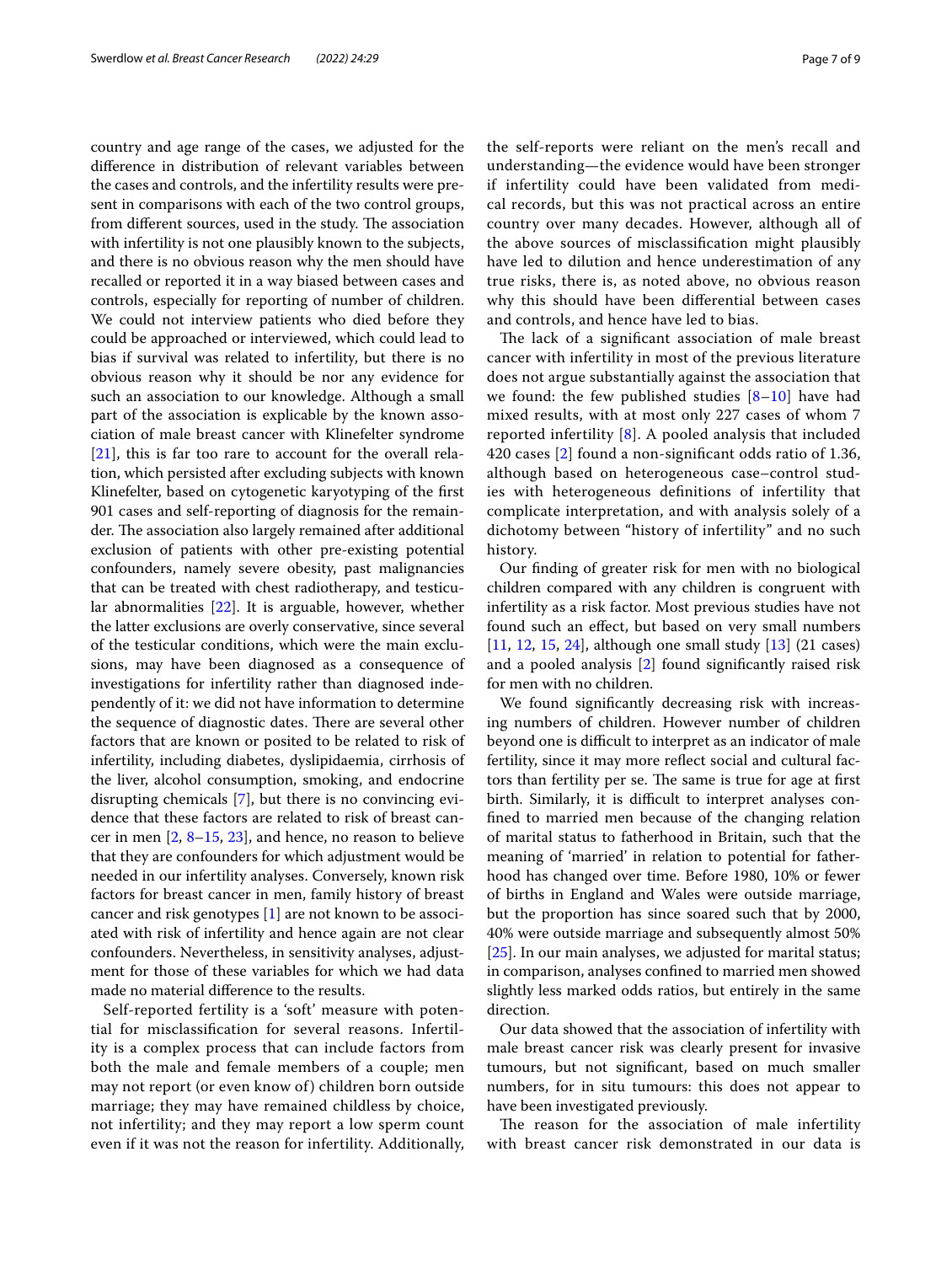country and age range of the cases, we adjusted for the diference in distribution of relevant variables between the cases and controls, and the infertility results were present in comparisons with each of the two control groups, from different sources, used in the study. The association with infertility is not one plausibly known to the subjects, and there is no obvious reason why the men should have recalled or reported it in a way biased between cases and controls, especially for reporting of number of children. We could not interview patients who died before they could be approached or interviewed, which could lead to bias if survival was related to infertility, but there is no obvious reason why it should be nor any evidence for such an association to our knowledge. Although a small part of the association is explicable by the known association of male breast cancer with Klinefelter syndrome [[21\]](#page-8-6), this is far too rare to account for the overall relation, which persisted after excluding subjects with known Klinefelter, based on cytogenetic karyotyping of the frst 901 cases and self-reporting of diagnosis for the remainder. The association also largely remained after additional exclusion of patients with other pre-existing potential confounders, namely severe obesity, past malignancies that can be treated with chest radiotherapy, and testicular abnormalities [[22\]](#page-8-7). It is arguable, however, whether the latter exclusions are overly conservative, since several of the testicular conditions, which were the main exclusions, may have been diagnosed as a consequence of investigations for infertility rather than diagnosed independently of it: we did not have information to determine the sequence of diagnostic dates. There are several other factors that are known or posited to be related to risk of infertility, including diabetes, dyslipidaemia, cirrhosis of the liver, alcohol consumption, smoking, and endocrine disrupting chemicals [[7\]](#page-7-6), but there is no convincing evidence that these factors are related to risk of breast cancer in men  $[2, 8-15, 23]$  $[2, 8-15, 23]$  $[2, 8-15, 23]$  $[2, 8-15, 23]$  $[2, 8-15, 23]$  $[2, 8-15, 23]$  $[2, 8-15, 23]$ , and hence, no reason to believe that they are confounders for which adjustment would be needed in our infertility analyses. Conversely, known risk factors for breast cancer in men, family history of breast cancer and risk genotypes [[1\]](#page-7-0) are not known to be associated with risk of infertility and hence again are not clear confounders. Nevertheless, in sensitivity analyses, adjustment for those of these variables for which we had data made no material diference to the results.

Self-reported fertility is a 'soft' measure with potential for misclassifcation for several reasons. Infertility is a complex process that can include factors from both the male and female members of a couple; men may not report (or even know of) children born outside marriage; they may have remained childless by choice, not infertility; and they may report a low sperm count even if it was not the reason for infertility. Additionally, the self-reports were reliant on the men's recall and understanding—the evidence would have been stronger if infertility could have been validated from medical records, but this was not practical across an entire country over many decades. However, although all of the above sources of misclassifcation might plausibly have led to dilution and hence underestimation of any true risks, there is, as noted above, no obvious reason why this should have been diferential between cases and controls, and hence have led to bias.

The lack of a significant association of male breast cancer with infertility in most of the previous literature does not argue substantially against the association that we found: the few published studies  $[8-10]$  $[8-10]$  $[8-10]$  $[8-10]$  $[8-10]$  have had mixed results, with at most only 227 cases of whom 7 reported infertility [\[8\]](#page-7-7). A pooled analysis that included 420 cases [\[2](#page-7-1)] found a non-signifcant odds ratio of 1.36, although based on heterogeneous case–control studies with heterogeneous defnitions of infertility that complicate interpretation, and with analysis solely of a dichotomy between "history of infertility" and no such history.

Our fnding of greater risk for men with no biological children compared with any children is congruent with infertility as a risk factor. Most previous studies have not found such an efect, but based on very small numbers [[11,](#page-7-9) [12,](#page-7-10) [15](#page-8-0), [24](#page-8-9)], although one small study [[13\]](#page-7-11) (21 cases) and a pooled analysis [\[2](#page-7-1)] found signifcantly raised risk for men with no children.

We found signifcantly decreasing risk with increasing numbers of children. However number of children beyond one is difficult to interpret as an indicator of male fertility, since it may more refect social and cultural factors than fertility per se. The same is true for age at first birth. Similarly, it is difficult to interpret analyses confned to married men because of the changing relation of marital status to fatherhood in Britain, such that the meaning of 'married' in relation to potential for fatherhood has changed over time. Before 1980, 10% or fewer of births in England and Wales were outside marriage, but the proportion has since soared such that by 2000, 40% were outside marriage and subsequently almost 50% [[25\]](#page-8-10). In our main analyses, we adjusted for marital status; in comparison, analyses confned to married men showed slightly less marked odds ratios, but entirely in the same direction.

Our data showed that the association of infertility with male breast cancer risk was clearly present for invasive tumours, but not signifcant, based on much smaller numbers, for in situ tumours: this does not appear to have been investigated previously.

The reason for the association of male infertility with breast cancer risk demonstrated in our data is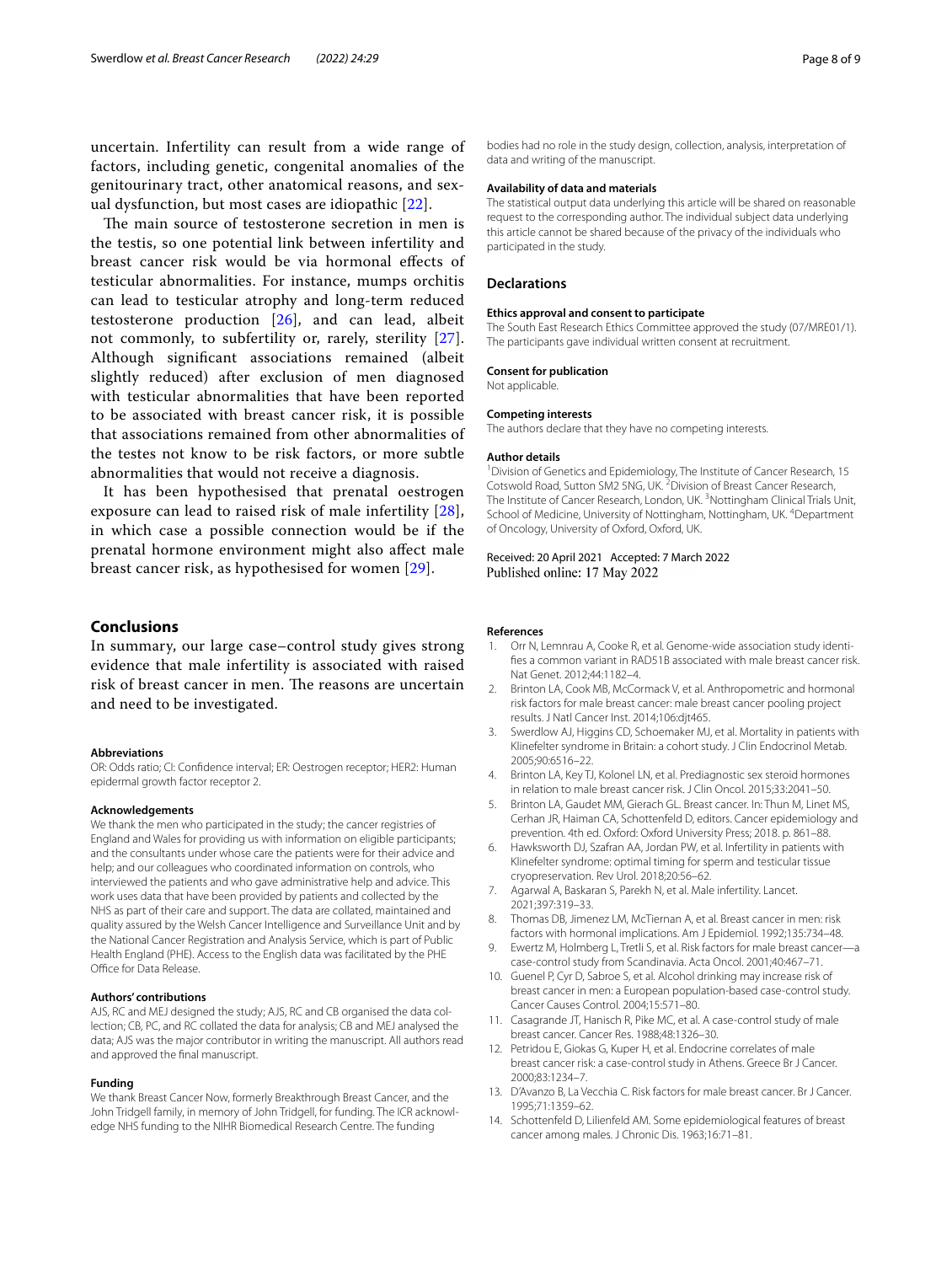uncertain. Infertility can result from a wide range of factors, including genetic, congenital anomalies of the genitourinary tract, other anatomical reasons, and sexual dysfunction, but most cases are idiopathic [[22\]](#page-8-7).

The main source of testosterone secretion in men is the testis, so one potential link between infertility and breast cancer risk would be via hormonal efects of testicular abnormalities. For instance, mumps orchitis can lead to testicular atrophy and long-term reduced testosterone production [[26](#page-8-11)], and can lead, albeit not commonly, to subfertility or, rarely, sterility [[27\]](#page-8-12). Although signifcant associations remained (albeit slightly reduced) after exclusion of men diagnosed with testicular abnormalities that have been reported to be associated with breast cancer risk, it is possible that associations remained from other abnormalities of the testes not know to be risk factors, or more subtle abnormalities that would not receive a diagnosis.

It has been hypothesised that prenatal oestrogen exposure can lead to raised risk of male infertility [[28\]](#page-8-13), in which case a possible connection would be if the prenatal hormone environment might also afect male breast cancer risk, as hypothesised for women [\[29](#page-8-14)].

## **Conclusions**

In summary, our large case–control study gives strong evidence that male infertility is associated with raised risk of breast cancer in men. The reasons are uncertain and need to be investigated.

#### **Abbreviations**

OR: Odds ratio; CI: Confdence interval; ER: Oestrogen receptor; HER2: Human epidermal growth factor receptor 2.

#### **Acknowledgements**

We thank the men who participated in the study; the cancer registries of England and Wales for providing us with information on eligible participants; and the consultants under whose care the patients were for their advice and help; and our colleagues who coordinated information on controls, who interviewed the patients and who gave administrative help and advice. This work uses data that have been provided by patients and collected by the NHS as part of their care and support. The data are collated, maintained and quality assured by the Welsh Cancer Intelligence and Surveillance Unit and by the National Cancer Registration and Analysis Service, which is part of Public Health England (PHE). Access to the English data was facilitated by the PHE Office for Data Release.

#### **Authors' contributions**

AJS, RC and MEJ designed the study; AJS, RC and CB organised the data collection; CB, PC, and RC collated the data for analysis; CB and MEJ analysed the data; AJS was the major contributor in writing the manuscript. All authors read and approved the fnal manuscript.

#### **Funding**

We thank Breast Cancer Now, formerly Breakthrough Breast Cancer, and the John Tridgell family, in memory of John Tridgell, for funding. The ICR acknowledge NHS funding to the NIHR Biomedical Research Centre. The funding

### **Availability of data and materials**

The statistical output data underlying this article will be shared on reasonable request to the corresponding author. The individual subject data underlying this article cannot be shared because of the privacy of the individuals who participated in the study.

#### **Declarations**

#### **Ethics approval and consent to participate**

The South East Research Ethics Committee approved the study (07/MRE01/1). The participants gave individual written consent at recruitment.

#### **Consent for publication** Not applicable.

#### **Competing interests**

The authors declare that they have no competing interests.

#### **Author details**

<sup>1</sup> Division of Genetics and Epidemiology, The Institute of Cancer Research, 15 Cotswold Road, Sutton SM2 5NG, UK.<sup>2</sup> Division of Breast Cancer Research, The Institute of Cancer Research, London, UK.<sup>3</sup> Nottingham Clinical Trials Unit, School of Medicine, University of Nottingham, Nottingham, UK. <sup>4</sup>Department of Oncology, University of Oxford, Oxford, UK.

#### Received: 20 April 2021 Accepted: 7 March 2022 Published online: 17 May 2022

#### **References**

- <span id="page-7-0"></span>1. Orr N, Lemnrau A, Cooke R, et al. Genome-wide association study identifes a common variant in RAD51B associated with male breast cancer risk. Nat Genet. 2012;44:1182–4.
- <span id="page-7-1"></span>2. Brinton LA, Cook MB, McCormack V, et al. Anthropometric and hormonal risk factors for male breast cancer: male breast cancer pooling project results. J Natl Cancer Inst. 2014;106:djt465.
- <span id="page-7-2"></span>3. Swerdlow AJ, Higgins CD, Schoemaker MJ, et al. Mortality in patients with Klinefelter syndrome in Britain: a cohort study. J Clin Endocrinol Metab. 2005;90:6516–22.
- <span id="page-7-3"></span>4. Brinton LA, Key TJ, Kolonel LN, et al. Prediagnostic sex steroid hormones in relation to male breast cancer risk. J Clin Oncol. 2015;33:2041–50.
- <span id="page-7-4"></span>5. Brinton LA, Gaudet MM, Gierach GL. Breast cancer. In: Thun M, Linet MS, Cerhan JR, Haiman CA, Schottenfeld D, editors. Cancer epidemiology and prevention. 4th ed. Oxford: Oxford University Press; 2018. p. 861–88.
- <span id="page-7-5"></span>6. Hawksworth DJ, Szafran AA, Jordan PW, et al. Infertility in patients with Klinefelter syndrome: optimal timing for sperm and testicular tissue cryopreservation. Rev Urol. 2018;20:56–62.
- <span id="page-7-6"></span>7. Agarwal A, Baskaran S, Parekh N, et al. Male infertility. Lancet. 2021;397:319–33.
- <span id="page-7-7"></span>8. Thomas DB, Jimenez LM, McTiernan A, et al. Breast cancer in men: risk factors with hormonal implications. Am J Epidemiol. 1992;135:734–48.
- Ewertz M, Holmberg L, Tretli S, et al. Risk factors for male breast cancer-a case-control study from Scandinavia. Acta Oncol. 2001;40:467–71.
- <span id="page-7-8"></span>10. Guenel P, Cyr D, Sabroe S, et al. Alcohol drinking may increase risk of breast cancer in men: a European population-based case-control study. Cancer Causes Control. 2004;15:571–80.
- <span id="page-7-9"></span>11. Casagrande JT, Hanisch R, Pike MC, et al. A case-control study of male breast cancer. Cancer Res. 1988;48:1326–30.
- <span id="page-7-10"></span>12. Petridou E, Giokas G, Kuper H, et al. Endocrine correlates of male breast cancer risk: a case-control study in Athens. Greece Br J Cancer. 2000;83:1234–7.
- <span id="page-7-11"></span>13. D'Avanzo B, La Vecchia C. Risk factors for male breast cancer. Br J Cancer. 1995;71:1359–62.
- 14. Schottenfeld D, Lilienfeld AM. Some epidemiological features of breast cancer among males. J Chronic Dis. 1963;16:71–81.